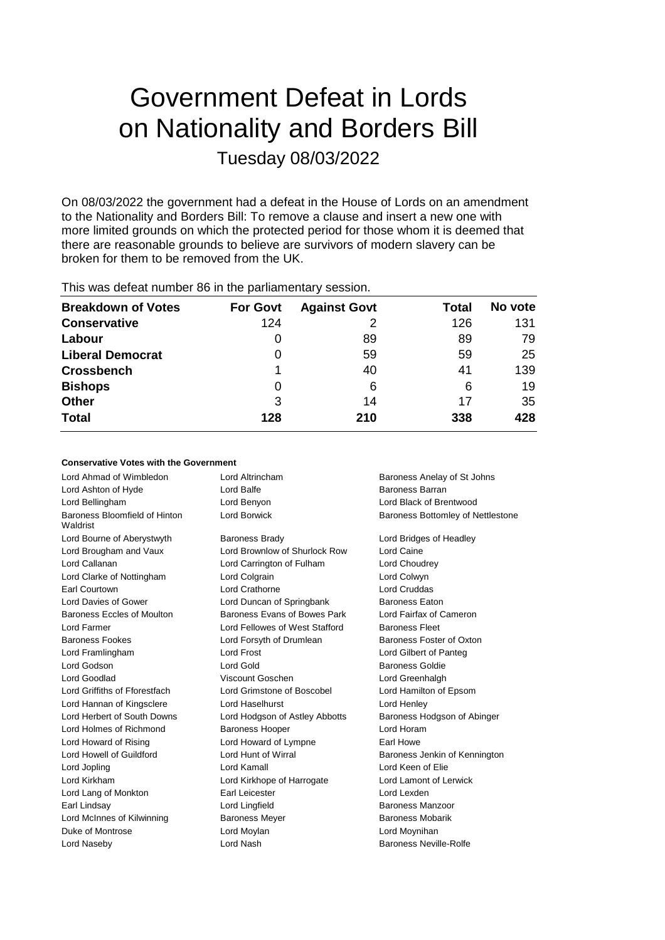# Government Defeat in Lords on Nationality and Borders Bill Tuesday 08/03/2022

On 08/03/2022 the government had a defeat in the House of Lords on an amendment to the Nationality and Borders Bill: To remove a clause and insert a new one with more limited grounds on which the protected period for those whom it is deemed that there are reasonable grounds to believe are survivors of modern slavery can be broken for them to be removed from the UK.

| This was defeat number 86 in the parliamentary session. |  |                              |  |
|---------------------------------------------------------|--|------------------------------|--|
| <b>Breakdown of Votes</b>                               |  | <b>For Govt</b> Against Govt |  |

| <b>Breakdown of Votes</b> | <b>For Govt</b> | <b>Against Govt</b> | Total | No vote |
|---------------------------|-----------------|---------------------|-------|---------|
| <b>Conservative</b>       | 124             |                     | 126   | 131     |
| Labour                    | $\Omega$        | 89                  | 89    | 79      |
| <b>Liberal Democrat</b>   | 0               | 59                  | 59    | 25      |
| <b>Crossbench</b>         |                 | 40                  | 41    | 139     |
| <b>Bishops</b>            | 0               | 6                   | 6     | 19      |
| <b>Other</b>              | 3               | 14                  | 17    | 35      |
| <b>Total</b>              | 128             | 210                 | 338   | 428     |

## **Conservative Votes with the Government**

| Lord Ahmad of Wimbledon                   | Lord Altrincham                | Baroness Anelay of St Johns       |
|-------------------------------------------|--------------------------------|-----------------------------------|
| Lord Ashton of Hyde                       | Lord Balfe                     | <b>Baroness Barran</b>            |
| Lord Bellingham                           | Lord Benyon                    | Lord Black of Brentwood           |
| Baroness Bloomfield of Hinton<br>Waldrist | <b>Lord Borwick</b>            | Baroness Bottomley of Nettlestone |
| Lord Bourne of Aberystwyth                | <b>Baroness Brady</b>          | Lord Bridges of Headley           |
| Lord Brougham and Vaux                    | Lord Brownlow of Shurlock Row  | Lord Caine                        |
| Lord Callanan                             | Lord Carrington of Fulham      | Lord Choudrey                     |
| Lord Clarke of Nottingham                 | Lord Colgrain                  | Lord Colwyn                       |
| Earl Courtown                             | Lord Crathorne                 | Lord Cruddas                      |
| Lord Davies of Gower                      | Lord Duncan of Springbank      | <b>Baroness Eaton</b>             |
| Baroness Eccles of Moulton                | Baroness Evans of Bowes Park   | Lord Fairfax of Cameron           |
| Lord Farmer                               | Lord Fellowes of West Stafford | <b>Baroness Fleet</b>             |
| <b>Baroness Fookes</b>                    | Lord Forsyth of Drumlean       | Baroness Foster of Oxton          |
| Lord Framlingham                          | Lord Frost                     | Lord Gilbert of Panteg            |
| Lord Godson                               | Lord Gold                      | <b>Baroness Goldie</b>            |
| Lord Goodlad                              | Viscount Goschen               | Lord Greenhalgh                   |
| Lord Griffiths of Fforestfach             | Lord Grimstone of Boscobel     | Lord Hamilton of Epsom            |
| Lord Hannan of Kingsclere                 | Lord Haselhurst                | Lord Henley                       |
| Lord Herbert of South Downs               | Lord Hodgson of Astley Abbotts | Baroness Hodgson of Abinger       |
| Lord Holmes of Richmond                   | <b>Baroness Hooper</b>         | Lord Horam                        |
| Lord Howard of Rising                     | Lord Howard of Lympne          | Earl Howe                         |
| Lord Howell of Guildford                  | Lord Hunt of Wirral            | Baroness Jenkin of Kennington     |
| Lord Jopling                              | Lord Kamall                    | Lord Keen of Elie                 |
| Lord Kirkham                              | Lord Kirkhope of Harrogate     | Lord Lamont of Lerwick            |
| Lord Lang of Monkton                      | Earl Leicester                 | Lord Lexden                       |
| Earl Lindsay                              | Lord Lingfield                 | <b>Baroness Manzoor</b>           |
| Lord McInnes of Kilwinning                | <b>Baroness Meyer</b>          | <b>Baroness Mobarik</b>           |
| Duke of Montrose                          | Lord Moylan                    | Lord Moynihan                     |
| Lord Naseby                               | Lord Nash                      | <b>Baroness Neville-Rolfe</b>     |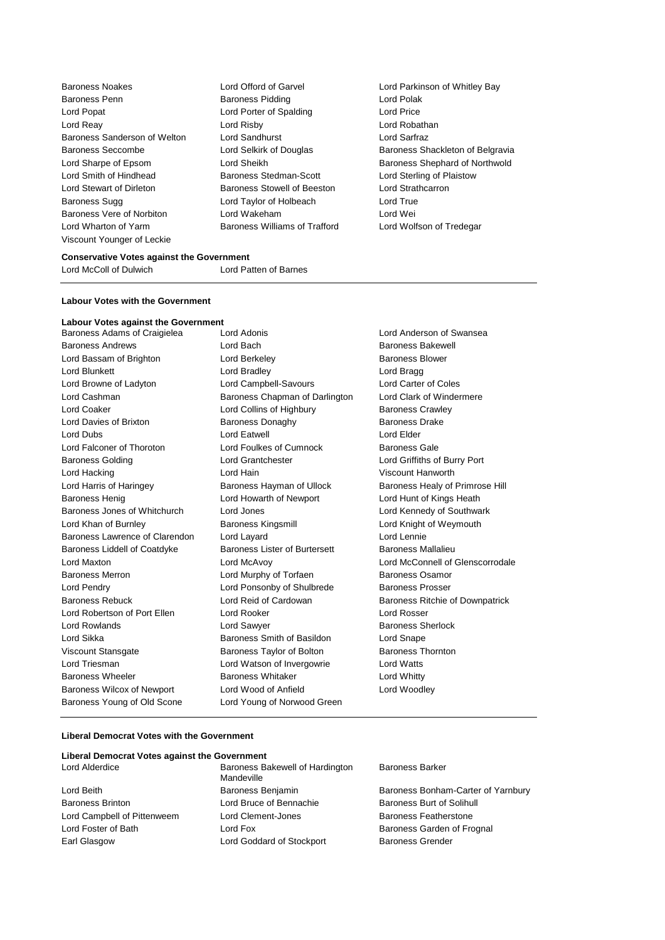Baroness Noakes Lord Offord of Garvel Lord Parkinson of Whitley Bay Baroness Penn Baroness Pidding Lord Polak Lord Popat **Lord Content Lord Porter of Spalding Lord Price** Lord Reay Lord Risby Lord Robathan Baroness Sanderson of Welton Lord Sandhurst Lord Sarfraz Baroness Seccombe **Lord Selkirk of Douglas** Baroness Shackleton of Belgravia Lord Sharpe of Epsom Lord Sheikh Baroness Shephard of Northwold Lord Smith of Hindhead Baroness Stedman-Scott Lord Sterling of Plaistow Lord Stewart of Dirleton Baroness Stowell of Beeston Lord Strathcarron Baroness Sugg **Lord Taylor of Holbeach** Lord True Baroness Vere of Norbiton Lord Wakeham Lord Wei Lord Wharton of Yarm **Baroness Williams of Trafford** Lord Wolfson of Tredegar Viscount Younger of Leckie

## **Conservative Votes against the Government**

Lord McColl of Dulwich Lord Patten of Barnes

#### **Labour Votes with the Government**

## **Labour Votes against the Government**

Baroness Adams of Craigielea Lord Adonis **Lord Anderson of Swansea** Baroness Andrews Lord Bach Baroness Bakewell Lord Bassam of Brighton **Lord Berkeley Baroness Blower** Baroness Blower Lord Blunkett Lord Bradley Lord Bragg Lord Browne of Ladyton Lord Campbell-Savours Lord Carter of Coles Lord Cashman Baroness Chapman of Darlington Lord Clark of Windermere Lord Coaker **Lord Collins of Highbury** Baroness Crawley Lord Davies of Brixton **Baroness Donaghy** Baroness Davies Drake Lord Dubs Lord Eatwell Lord Elder Lord Falconer of Thoroton Lord Foulkes of Cumnock Baroness Gale Baroness Golding Lord Grantchester Lord Griffiths of Burry Port Lord Hacking Lord Hain Viscount Hanworth Lord Harris of Haringey **Baroness Hayman of Ullock** Baroness Healy of Primrose Hill Baroness Henig **Lord Howarth of Newport** Lord Hunt of Kings Heath Baroness Jones of Whitchurch Lord Jones Lord Kennedy of Southwark Lord Khan of Burnley **Baroness Kingsmill** Lord Knight of Weymouth Baroness Lawrence of Clarendon Lord Layard Lord Lennie Baroness Liddell of Coatdyke Baroness Lister of Burtersett Baroness Mallalieu Lord Maxton Lord McAvoy Lord McConnell of Glenscorrodale Baroness Merron **Example 2** Lord Murphy of Torfaen Baroness Osamor Lord Pendry **Lord Ponsonby of Shulbrede** Baroness Prosser Baroness Rebuck Lord Reid of Cardowan Baroness Ritchie of Downpatrick Lord Robertson of Port Ellen Lord Rooker Lord Rosser Lord Rowlands **Lord Sawyer** Communication Communication Communication Communication Communication Communication Lord Sikka **Baroness Smith of Basildon** Lord Snape Viscount Stansgate **Baroness Taylor of Bolton** Baroness Thornton Lord Triesman Lord Watson of Invergowrie Lord Watts Baroness Wheeler **Baroness Whitaker** Lord Whitty Baroness Wilcox of Newport Lord Wood of Anfield Lord Woodley Baroness Young of Old Scone Lord Young of Norwood Green

## **Liberal Democrat Votes with the Government**

## **Liberal Democrat Votes against the Government**

Earl Glasgow **Lord Goddard of Stockport** Baroness Grender

Lord Alderdice **Baroness Bakewell of Hardington** Mandeville Lord Beith **Baroness Benjamin** Baroness Benjamin Baroness Bonham-Carter of Yarnbury Baroness Brinton Lord Bruce of Bennachie Baroness Burt of Solihull Lord Campbell of Pittenweem Lord Clement-Jones **Baroness Featherstone** Lord Foster of Bath **Lord Fox** Lord Fox **Baroness Garden of Frognal** 

## Baroness Barker